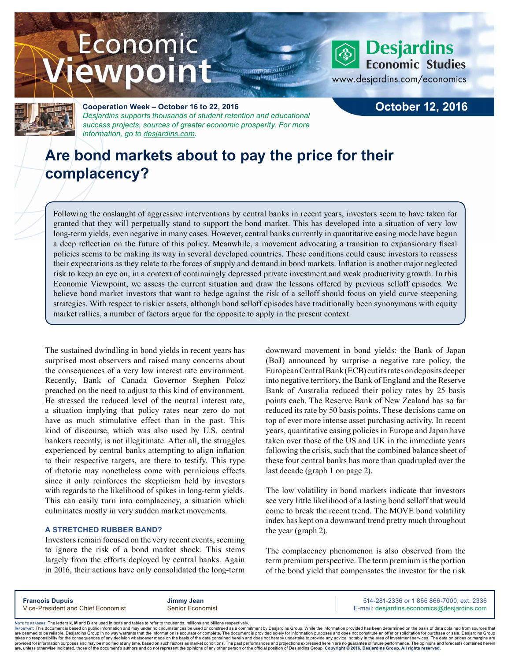# Economic iewpoint



## **Desjardins Economic Studies**

www.desjardins.com/economics



**Cooperation Week – October 16 to 22, 2016** *Desjardins supports thousands of student retention and educational success projects, sources of greater economic prosperity. For more information, go to [desjardins.com](https://www.desjardins.com/ca/co-opme/desjardins-difference/co-op-week/index.jsp).*

### **October 12, 2016**

## **Are bond markets about to pay the price for their complacency?**

Following the onslaught of aggressive interventions by central banks in recent years, investors seem to have taken for granted that they will perpetually stand to support the bond market. This has developed into a situation of very low long-term yields, even negative in many cases. However, central banks currently in quantitative easing mode have begun a deep reflection on the future of this policy. Meanwhile, a movement advocating a transition to expansionary fiscal policies seems to be making its way in several developed countries. These conditions could cause investors to reassess their expectations as they relate to the forces of supply and demand in bond markets. Inflation is another major neglected risk to keep an eye on, in a context of continuingly depressed private investment and weak productivity growth. In this Economic Viewpoint, we assess the current situation and draw the lessons offered by previous selloff episodes. We believe bond market investors that want to hedge against the risk of a selloff should focus on yield curve steepening strategies. With respect to riskier assets, although bond selloff episodes have traditionally been synonymous with equity market rallies, a number of factors argue for the opposite to apply in the present context.

The sustained dwindling in bond yields in recent years has surprised most observers and raised many concerns about the consequences of a very low interest rate environment. Recently, Bank of Canada Governor Stephen Poloz preached on the need to adjust to this kind of environment. He stressed the reduced level of the neutral interest rate, a situation implying that policy rates near zero do not have as much stimulative effect than in the past. This kind of discourse, which was also used by U.S. central bankers recently, is not illegitimate. After all, the struggles experienced by central banks attempting to align inflation to their respective targets, are there to testify. This type of rhetoric may nonetheless come with pernicious effects since it only reinforces the skepticism held by investors with regards to the likelihood of spikes in long-term yields. This can easily turn into complacency, a situation which culminates mostly in very sudden market movements.

#### **A STRETCHED RUBBER BAND?**

Investors remain focused on the very recent events, seeming to ignore the risk of a bond market shock. This stems largely from the efforts deployed by central banks. Again in 2016, their actions have only consolidated the long-term downward movement in bond yields: the Bank of Japan (BoJ) announced by surprise a negative rate policy, the EuropeanCentral Bank (ECB) cut its rates on deposits deeper into negative territory, the Bank of England and the Reserve Bank of Australia reduced their policy rates by 25 basis points each. The Reserve Bank of New Zealand has so far reduced its rate by 50 basis points. These decisions came on top of ever more intense asset purchasing activity. In recent years, quantitative easing policies in Europe and Japan have taken over those of the US and UK in the immediate years following the crisis, such that the combined balance sheet of these four central banks has more than quadrupled over the last decade (graph 1 on page 2).

The low volatility in bond markets indicate that investors see very little likelihood of a lasting bond selloff that would come to break the recent trend. The MOVE bond volatility index has kept on a downward trend pretty much throughout the year (graph 2).

The complacency phenomenon is also observed from the term premium perspective. The term premium is the portion of the bond yield that compensates the investor for the risk

**François Dupuis Jimmy Jean** 514-281-2336 *or* 1 866 866-7000, ext. 2336 Vice-President and Chief Economist Senior Economist Senior Economist E-mail: desjardins.economics@desjardins.com

Noте то келоекs: The letters **k, M** and **B** are used in texts and tables to refer to thousands, millions and billions respectively.<br>Імроктлит: This document is based on public information and may under no circumstances be are deemed to be reliable. Desiardins Group in no way warrants that the information is accurate or complete. The document is provided solely for information purposes and does not constitute an offer or solicitation for pur takes no responsibility for the consequences of any decision whatsoever made on the basis of the data contained herein and does not hereby undertake to provide any advice, notably in the area of investment services. The da .<br>are, unless otherwise indicated, those of the document's authors and do not represent the opinions of any other person or the official position of Desjardins Group. Copyright @ 2016, Desjardins Group. All rights reserved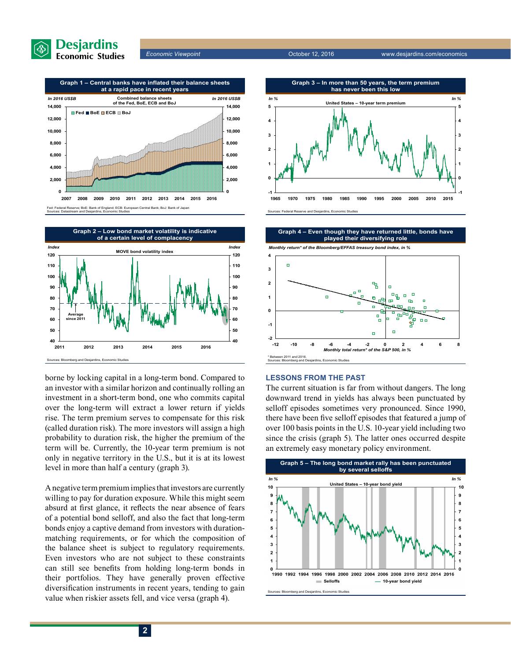







borne by locking capital in a long-term bond. Compared to an investor with a similar horizon and continually rolling an investment in a short-term bond, one who commits capital over the long-term will extract a lower return if yields rise. The term premium serves to compensate for this risk (called duration risk). The more investors will assign a high probability to duration risk, the higher the premium of the term will be. Currently, the 10-year term premium is not only in negative territory in the U.S., but it is at its lowest level in more than half a century (graph 3).

A negative term premium implies that investors are currently willing to pay for duration exposure. While this might seem absurd at first glance, it reflects the near absence of fears of a potential bond selloff, and also the fact that long-term bonds enjoy a captive demand from investors with durationmatching requirements, or for which the composition of the balance sheet is subject to regulatory requirements. Even investors who are not subject to these constraints can still see benefits from holding long-term bonds in their portfolios. They have generally proven effective diversification instruments in recent years, tending to gain value when riskier assets fell, and vice versa (graph 4).









#### **LESSONS FROM THE PAST**

The current situation is far from without dangers. The long downward trend in yields has always been punctuated by selloff episodes sometimes very pronounced. Since 1990, there have been five selloff episodes that featured a jump of over 100 basis points in the U.S. 10-year yield including two since the crisis (graph 5). The latter ones occurred despite an extremely easy monetary policy environment.

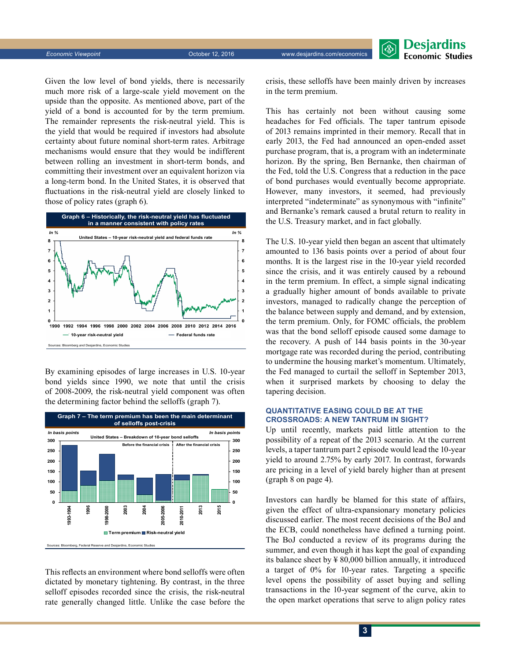Given the low level of bond yields, there is necessarily much more risk of a large-scale yield movement on the upside than the opposite. As mentioned above, part of the yield of a bond is accounted for by the term premium. The remainder represents the risk-neutral yield. This is the yield that would be required if investors had absolute certainty about future nominal short-term rates. Arbitrage mechanisms would ensure that they would be indifferent between rolling an investment in short-term bonds, and committing their investment over an equivalent horizon via a long-term bond. In the United States, it is observed that fluctuations in the risk-neutral yield are closely linked to those of policy rates (graph 6).



By examining episodes of large increases in U.S. 10-year bond yields since 1990, we note that until the crisis of 2008-2009, the risk-neutral yield component was often the determining factor behind the selloffs (graph 7).



This reflects an environment where bond selloffs were often dictated by monetary tightening. By contrast, in the three selloff episodes recorded since the crisis, the risk-neutral rate generally changed little. Unlike the case before the



crisis, these selloffs have been mainly driven by increases in the term premium.

This has certainly not been without causing some headaches for Fed officials. The taper tantrum episode of 2013 remains imprinted in their memory. Recall that in early 2013, the Fed had announced an open-ended asset purchase program, that is, a program with an indeterminate horizon. By the spring, Ben Bernanke, then chairman of the Fed, told the U.S. Congress that a reduction in the pace of bond purchases would eventually become appropriate. However, many investors, it seemed, had previously interpreted "indeterminate" as synonymous with "infinite" and Bernanke's remark caused a brutal return to reality in the U.S. Treasury market, and in fact globally.

The U.S. 10-year yield then began an ascent that ultimately amounted to 136 basis points over a period of about four months. It is the largest rise in the 10-year yield recorded since the crisis, and it was entirely caused by a rebound in the term premium. In effect, a simple signal indicating a gradually higher amount of bonds available to private investors, managed to radically change the perception of the balance between supply and demand, and by extension, the term premium. Only, for FOMC officials, the problem was that the bond selloff episode caused some damage to the recovery. A push of 144 basis points in the 30-year mortgage rate was recorded during the period, contributing to undermine the housing market's momentum. Ultimately, the Fed managed to curtail the selloff in September 2013, when it surprised markets by choosing to delay the tapering decision.

#### **QUANTITATIVE EASING COULD BE AT THE CROSSROADS: A NEW TANTRUM IN SIGHT?**

Up until recently, markets paid little attention to the possibility of a repeat of the 2013 scenario. At the current levels, a taper tantrum part 2 episode would lead the 10-year yield to around 2.75% by early 2017. In contrast, forwards are pricing in a level of yield barely higher than at present (graph 8 on page 4).

Investors can hardly be blamed for this state of affairs, given the effect of ultra-expansionary monetary policies discussed earlier. The most recent decisions of the BoJ and the ECB, could nonetheless have defined a turning point. The BoJ conducted a review of its programs during the summer, and even though it has kept the goal of expanding its balance sheet by ¥ 80,000 billion annually, it introduced a target of 0% for 10-year rates. Targeting a specific level opens the possibility of asset buying and selling transactions in the 10-year segment of the curve, akin to the open market operations that serve to align policy rates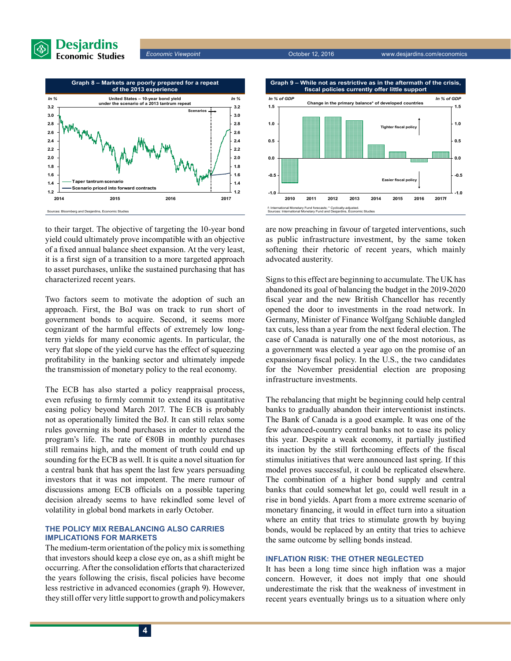





to their target. The objective of targeting the 10-year bond yield could ultimately prove incompatible with an objective of a fixed annual balance sheet expansion. At the very least, it is a first sign of a transition to a more targeted approach to asset purchases, unlike the sustained purchasing that has characterized recent years.

Two factors seem to motivate the adoption of such an approach. First, the BoJ was on track to run short of government bonds to acquire. Second, it seems more cognizant of the harmful effects of extremely low longterm yields for many economic agents. In particular, the very flat slope of the yield curve has the effect of squeezing profitability in the banking sector and ultimately impede the transmission of monetary policy to the real economy.

The ECB has also started a policy reappraisal process, even refusing to firmly commit to extend its quantitative easing policy beyond March 2017. The ECB is probably not as operationally limited the BoJ. It can still relax some rules governing its bond purchases in order to extend the program's life. The rate of €80B in monthly purchases still remains high, and the moment of truth could end up sounding for the ECB as well. It is quite a novel situation for a central bank that has spent the last few years persuading investors that it was not impotent. The mere rumour of discussions among ECB officials on a possible tapering decision already seems to have rekindled some level of volatility in global bond markets in early October.

#### **THE POLICY MIX REBALANCING ALSO CARRIES IMPLICATIONS FOR MARKETS**

The medium-term orientation of the policy mix is something that investors should keep a close eye on, as a shift might be occurring. After the consolidation efforts that characterized the years following the crisis, fiscal policies have become less restrictive in advanced economies (graph 9). However, they still offer very little support to growth and policymakers



are now preaching in favour of targeted interventions, such as public infrastructure investment, by the same token softening their rhetoric of recent years, which mainly advocated austerity.

Signs to this effect are beginning to accumulate. The UK has abandoned its goal of balancing the budget in the 2019-2020 fiscal year and the new British Chancellor has recently opened the door to investments in the road network. In Germany, Minister of Finance Wolfgang Schäuble dangled tax cuts, less than a year from the next federal election. The case of Canada is naturally one of the most notorious, as a government was elected a year ago on the promise of an expansionary fiscal policy. In the U.S., the two candidates for the November presidential election are proposing infrastructure investments.

The rebalancing that might be beginning could help central banks to gradually abandon their interventionist instincts. The Bank of Canada is a good example. It was one of the few advanced-country central banks not to ease its policy this year. Despite a weak economy, it partially justified its inaction by the still forthcoming effects of the fiscal stimulus initiatives that were announced last spring. If this model proves successful, it could be replicated elsewhere. The combination of a higher bond supply and central banks that could somewhat let go, could well result in a rise in bond yields. Apart from a more extreme scenario of monetary financing, it would in effect turn into a situation where an entity that tries to stimulate growth by buying bonds, would be replaced by an entity that tries to achieve the same outcome by selling bonds instead.

#### **INFLATION RISK: THE OTHER NEGLECTED**

It has been a long time since high inflation was a major concern. However, it does not imply that one should underestimate the risk that the weakness of investment in recent years eventually brings us to a situation where only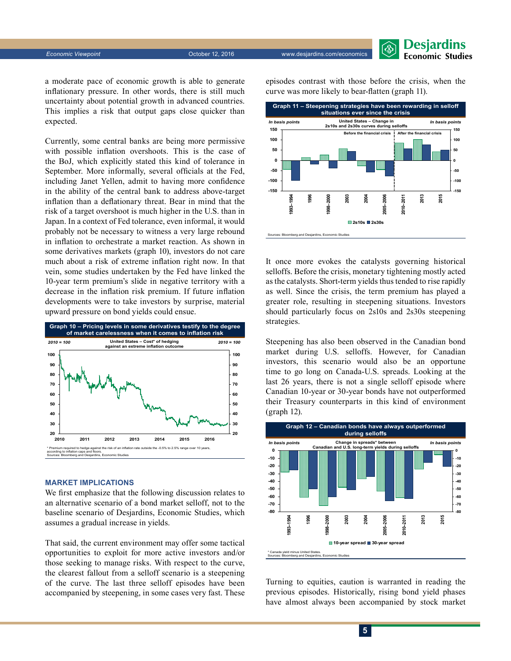

a moderate pace of economic growth is able to generate inflationary pressure. In other words, there is still much uncertainty about potential growth in advanced countries. This implies a risk that output gaps close quicker than expected.

Currently, some central banks are being more permissive with possible inflation overshoots. This is the case of the BoJ, which explicitly stated this kind of tolerance in September. More informally, several officials at the Fed, including Janet Yellen, admit to having more confidence in the ability of the central bank to address above-target inflation than a deflationary threat. Bear in mind that the risk of a target overshoot is much higher in the U.S. than in Japan. In a context of Fed tolerance, even informal, it would probably not be necessary to witness a very large rebound in inflation to orchestrate a market reaction. As shown in some derivatives markets (graph 10), investors do not care much about a risk of extreme inflation right now. In that vein, some studies undertaken by the Fed have linked the 10-year term premium's slide in negative territory with a decrease in the inflation risk premium. If future inflation developments were to take investors by surprise, material upward pressure on bond yields could ensue.



#### **MARKET IMPLICATIONS**

We first emphasize that the following discussion relates to an alternative scenario of a bond market selloff, not to the baseline scenario of Desjardins, Economic Studies, which assumes a gradual increase in yields.

That said, the current environment may offer some tactical opportunities to exploit for more active investors and/or those seeking to manage risks. With respect to the curve, the clearest fallout from a selloff scenario is a steepening of the curve. The last three selloff episodes have been accompanied by steepening, in some cases very fast. These episodes contrast with those before the crisis, when the curve was more likely to bear-flatten (graph 11).



It once more evokes the catalysts governing historical selloffs. Before the crisis, monetary tightening mostly acted as the catalysts. Short-term yields thus tended to rise rapidly as well. Since the crisis, the term premium has played a greater role, resulting in steepening situations. Investors should particularly focus on 2s10s and 2s30s steepening strategies.

Steepening has also been observed in the Canadian bond market during U.S. selloffs. However, for Canadian investors, this scenario would also be an opportune time to go long on Canada-U.S. spreads. Looking at the last 26 years, there is not a single selloff episode where Canadian 10-year or 30-year bonds have not outperformed their Treasury counterparts in this kind of environment (graph 12).



Turning to equities, caution is warranted in reading the previous episodes. Historically, rising bond yield phases have almost always been accompanied by stock market